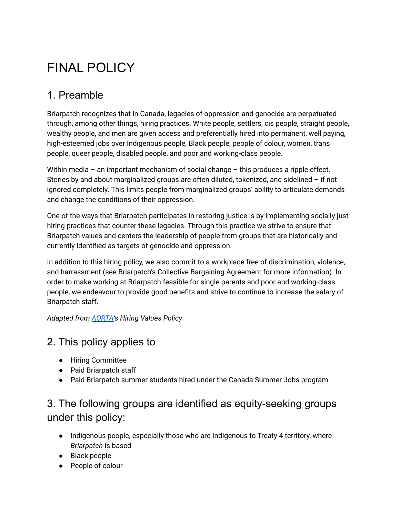# FINAL POLICY

## 1. Preamble

Briarpatch recognizes that in Canada, legacies of oppression and genocide are perpetuated through, among other things, hiring practices. White people, settlers, cis people, straight people, wealthy people, and men are given access and preferentially hired into permanent, well paying, high-esteemed jobs over Indigenous people, Black people, people of colour, women, trans people, queer people, disabled people, and poor and working-class people.

Within media – an important mechanism of social change – this produces a ripple effect. Stories by and about marginalized groups are often diluted, tokenized, and sidelined – if not ignored completely. This limits people from marginalized groups' ability to articulate demands and change the conditions of their oppression.

One of the ways that Briarpatch participates in restoring justice is by implementing socially just hiring practices that counter these legacies. Through this practice we strive to ensure that Briarpatch values and centers the leadership of people from groups that are historically and currently identified as targets of genocide and oppression.

In addition to this hiring policy, we also commit to a workplace free of discrimination, violence, and harrassment (see Briarpatch's Collective Bargaining Agreement for more information). In order to make working at Briarpatch feasible for single parents and poor and working-class people, we endeavour to provide good benefits and strive to continue to increase the salary of Briarpatch staff.

*Adapted from [AORTA](https://aorta.coop/)'s Hiring Values Policy*

#### 2. This policy applies to

- Hiring Committee
- Paid Briarpatch staff
- Paid Briarpatch summer students hired under the Canada Summer Jobs program

## 3. The following groups are identified as equity-seeking groups under this policy:

- Indigenous people, especially those who are Indigenous to Treaty 4 territory, where *Briarpatch* is based
- Black people
- People of colour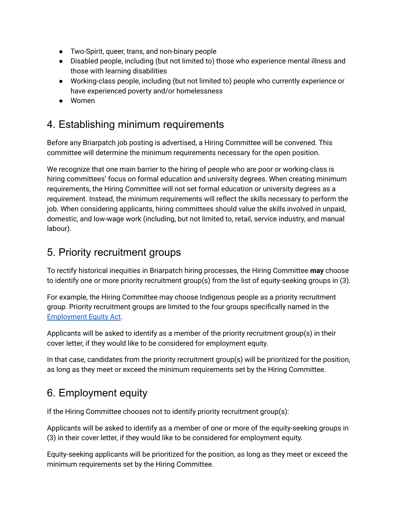- Two-Spirit, queer, trans, and non-binary people
- Disabled people, including (but not limited to) those who experience mental illness and those with learning disabilities
- Working-class people, including (but not limited to) people who currently experience or have experienced poverty and/or homelessness
- Women

## 4. Establishing minimum requirements

Before any Briarpatch job posting is advertised, a Hiring Committee will be convened. This committee will determine the minimum requirements necessary for the open position.

We recognize that one main barrier to the hiring of people who are poor or working-class is hiring committees' focus on formal education and university degrees. When creating minimum requirements, the Hiring Committee will not set formal education or university degrees as a requirement. Instead, the minimum requirements will reflect the skills necessary to perform the job. When considering applicants, hiring committees should value the skills involved in unpaid, domestic, and low-wage work (including, but not limited to, retail, service industry, and manual labour).

#### 5. Priority recruitment groups

To rectify historical inequities in Briarpatch hiring processes, the Hiring Committee **may** choose to identify one or more priority recruitment group(s) from the list of equity-seeking groups in (3).

For example, the Hiring Committee may choose Indigenous people as a priority recruitment group. Priority recruitment groups are limited to the four groups specifically named in the [Employment](https://www.canada.ca/en/employment-social-development/corporate/portfolio/labour/programs/employment-equity.html) Equity Act.

Applicants will be asked to identify as a member of the priority recruitment group(s) in their cover letter, if they would like to be considered for employment equity.

In that case, candidates from the priority recruitment group(s) will be prioritized for the position, as long as they meet or exceed the minimum requirements set by the Hiring Committee.

# 6. Employment equity

If the Hiring Committee chooses not to identify priority recruitment group(s):

Applicants will be asked to identify as a member of one or more of the equity-seeking groups in (3) in their cover letter, if they would like to be considered for employment equity.

Equity-seeking applicants will be prioritized for the position, as long as they meet or exceed the minimum requirements set by the Hiring Committee.